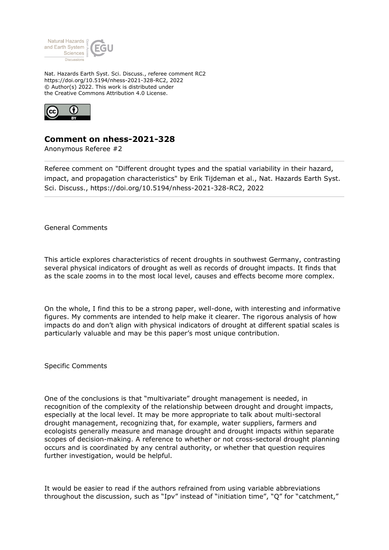

Nat. Hazards Earth Syst. Sci. Discuss., referee comment RC2 https://doi.org/10.5194/nhess-2021-328-RC2, 2022 © Author(s) 2022. This work is distributed under the Creative Commons Attribution 4.0 License.



## **Comment on nhess-2021-328**

Anonymous Referee #2

Referee comment on "Different drought types and the spatial variability in their hazard, impact, and propagation characteristics" by Erik Tijdeman et al., Nat. Hazards Earth Syst. Sci. Discuss., https://doi.org/10.5194/nhess-2021-328-RC2, 2022

General Comments

This article explores characteristics of recent droughts in southwest Germany, contrasting several physical indicators of drought as well as records of drought impacts. It finds that as the scale zooms in to the most local level, causes and effects become more complex.

On the whole, I find this to be a strong paper, well-done, with interesting and informative figures. My comments are intended to help make it clearer. The rigorous analysis of how impacts do and don't align with physical indicators of drought at different spatial scales is particularly valuable and may be this paper's most unique contribution.

Specific Comments

One of the conclusions is that "multivariate" drought management is needed, in recognition of the complexity of the relationship between drought and drought impacts, especially at the local level. It may be more appropriate to talk about multi-sectoral drought management, recognizing that, for example, water suppliers, farmers and ecologists generally measure and manage drought and drought impacts within separate scopes of decision-making. A reference to whether or not cross-sectoral drought planning occurs and is coordinated by any central authority, or whether that question requires further investigation, would be helpful.

It would be easier to read if the authors refrained from using variable abbreviations throughout the discussion, such as "Ipv" instead of "initiation time", "Q" for "catchment,"